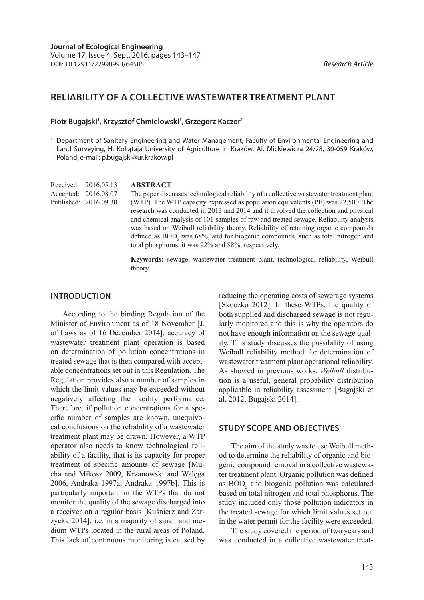## **RELIABILITY OF A COLLECTIVE WASTEWATER TREATMENT PLANT**

#### Piotr Bugajski<sup>1</sup>, Krzysztof Chmielowski<sup>1</sup>, Grzegorz Kaczor<sup>1</sup>

<sup>1</sup> Department of Sanitary Engineering and Water Management, Faculty of Environmental Engineering and Land Surveying, H. Kołłątaja University of Agriculture in Kraków, Al. Mickiewicza 24/28, 30-059 Kraków, Poland, e-mail: p.bugajski@ur.krakow.pl

**ABSTRACT** The paper discusses technological reliability of a collective wastewater treatment plant (WTP). The WTP capacity expressed as population equivalents (PE) was 22,500. The research was conducted in 2013 and 2014 and it involved the collection and physical and chemical analysis of 101 samples of raw and treated sewage. Reliability analysis was based on Weibull reliability theory. Reliability of retaining organic compounds defined as  $BOD_5$  was 68%, and for biogenic compounds, such as total nitrogen and total phosphorus, it was 92% and 88%, respectively. Received: 2016.05.13 Accepted: 2016.08.07 Published: 2016.09.30

> **Keywords:** sewage, wastewater treatment plant, technological reliability, Weibull theory

#### **INTRODUCTION**

According to the binding Regulation of the Minister of Environment as of 18 November [J. of Laws as of 16 December 2014], accuracy of wastewater treatment plant operation is based on determination of pollution concentrations in treated sewage that is then compared with acceptable concentrations set out in this Regulation. The Regulation provides also a number of samples in which the limit values may be exceeded without negatively affecting the facility performance. Therefore, if pollution concentrations for a specific number of samples are known, unequivocal conclusions on the reliability of a wastewater treatment plant may be drawn. However, a WTP operator also needs to know technological reliability of a facility, that is its capacity for proper treatment of specific amounts of sewage [Mucha and Mikosz 2009, Krzanowski and Wałęga 2006, Andraka 1997a, Andraka 1997b]. This is particularly important in the WTPs that do not monitor the quality of the sewage discharged into a receiver on a regular basis [Kuśnierz and Zarzycka 2014], i.e. in a majority of small and medium WTPs located in the rural areas of Poland. This lack of continuous monitoring is caused by

reducing the operating costs of sewerage systems [Skoczko 2012]. In these WTPs, the quality of both supplied and discharged sewage is not regularly monitored and this is why the operators do not have enough information on the sewage quality. This study discusses the possibility of using Weibull reliability method for determination of wastewater treatment plant operational reliability. As showed in previous works, *Weibull* distribution is a useful, general probability distribution applicable in reliability assessment [Bugajski et al. 2012, Bugajski 2014].

### **STUDY SCOPE AND OBJECTIVES**

The aim of the study was to use Weibull method to determine the reliability of organic and biogenic compound removal in a collective wastewater treatment plant. Organic pollution was defined as  $BOD<sub>5</sub>$  and biogenic pollution was calculated based on total nitrogen and total phosphorus. The study included only those pollution indicators in the treated sewage for which limit values set out in the water permit for the facility were exceeded.

The study covered the period of two years and was conducted in a collective wastewater treat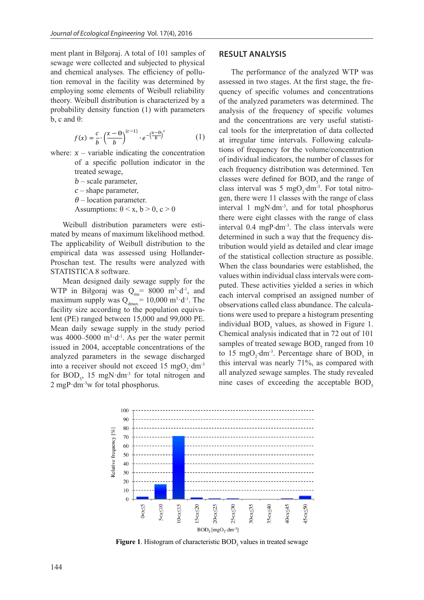ment plant in Biłgoraj. A total of 101 samples of sewage were collected and subjected to physical and chemical analyses. The efficiency of pollution removal in the facility was determined by employing some elements of Weibull reliability theory. Weibull distribution is characterized by a probability density function (1) with parameters b, c and θ:

$$
f(x) = \frac{c}{b} \cdot \left(\frac{x - \theta}{b}\right)^{(c-1)} \cdot e^{-\left(\frac{x - \theta}{b}\right)^c} \tag{1}
$$

where:  $x -$  variable indicating the concentration of a specific pollution indicator in the treated sewage,

 $b$  – scale parameter,  $c$  – shape parameter,  $\theta$  – location parameter. Assumptions:  $\theta < x, b > 0, c > 0$ 

Weibull distribution parameters were estimated by means of maximum likelihood method. The applicability of Weibull distribution to the empirical data was assessed using Hollander-Proschan test. The results were analyzed with STATISTICA 8 software.

Mean designed daily sewage supply for the WTP in Biłgoraj was  $Q_{ms} = 8000 \text{ m}^3 \cdot d^{-1}$ , and maximum supply was  $Q_{dmax} = 10,000 \text{ m}^3 \cdot d^{-1}$ . The facility size according to the population equivalent (PE) ranged between 15,000 and 99,000 PE. Mean daily sewage supply in the study period was  $4000-5000$  m<sup>3</sup> $\cdot$ d<sup>-1</sup>. As per the water permit issued in 2004, acceptable concentrations of the analyzed parameters in the sewage discharged into a receiver should not exceed 15  $mgO_2$ ·dm<sup>-3</sup> for  $BOD_5$ , 15 mgN·dm<sup>-3</sup> for total nitrogen and 2 mgP·dm-3w for total phosphorus.

### **RESULT ANALYSIS**

The performance of the analyzed WTP was assessed in two stages. At the first stage, the frequency of specific volumes and concentrations of the analyzed parameters was determined. The analysis of the frequency of specific volumes and the concentrations are very useful statistical tools for the interpretation of data collected at irregular time intervals. Following calculations of frequency for the volume/concentration of individual indicators, the number of classes for each frequency distribution was determined. Ten classes were defined for BOD<sub>5</sub> and the range of class interval was 5 mgO<sub>2</sub>·dm<sup>-3</sup>. For total nitrogen, there were 11 classes with the range of class interval 1 mgN⋅dm-3, and for total phosphorus there were eight classes with the range of class interval 0.4 mgP⋅dm-3. The class intervals were determined in such a way that the frequency distribution would yield as detailed and clear image of the statistical collection structure as possible. When the class boundaries were established, the values within individual class intervals were computed. These activities yielded a series in which each interval comprised an assigned number of observations called class abundance. The calculations were used to prepare a histogram presenting individual  $BOD_5$  values, as showed in Figure 1. Chemical analysis indicated that in 72 out of 101 samples of treated sewage  $\mathrm{BOD}_5$  ranged from  $10$ to 15 mgO<sub>2</sub> $\cdot$ dm<sup>-3</sup>. Percentage share of BOD<sub>5</sub> in this interval was nearly 71%, as compared with all analyzed sewage samples. The study revealed nine cases of exceeding the acceptable  $BOD<sub>5</sub>$ 



**Figure 1**. Histogram of characteristic BOD<sub>5</sub> values in treated sewage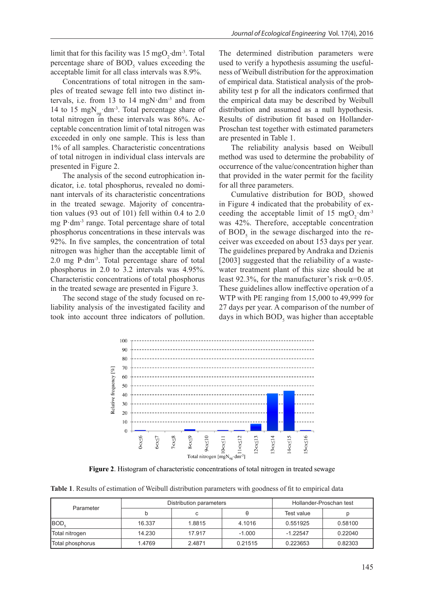limit that for this facility was  $15 \text{ mgO}_2 \cdot \text{dm}^{-3}$ . Total percentage share of  $BOD_5$  values exceeding the acceptable limit for all class intervals was 8.9%.

Concentrations of total nitrogen in the samples of treated sewage fell into two distinct intervals, i.e. from 13 to 14 mgN·dm<sup>-3</sup> and from 14 to 15 mgN<sub>og</sub>·dm<sup>-3</sup>. Total percentage share of total nitrogen in these intervals was 86%. Acceptable concentration limit of total nitrogen was exceeded in only one sample. This is less than 1% of all samples. Characteristic concentrations of total nitrogen in individual class intervals are presented in Figure 2.

The analysis of the second eutrophication indicator, i.e. total phosphorus, revealed no dominant intervals of its characteristic concentrations in the treated sewage. Majority of concentration values (93 out of 101) fell within 0.4 to 2.0 mg P·dm-3 range. Total percentage share of total phosphorus concentrations in these intervals was 92%. In five samples, the concentration of total nitrogen was higher than the acceptable limit of 2.0 mg P·dm-3. Total percentage share of total phosphorus in 2.0 to 3.2 intervals was 4.95%. Characteristic concentrations of total phosphorus in the treated sewage are presented in Figure 3.

The second stage of the study focused on reliability analysis of the investigated facility and took into account three indicators of pollution. The determined distribution parameters were used to verify a hypothesis assuming the usefulness of Weibull distribution for the approximation of empirical data. Statistical analysis of the probability test p for all the indicators confirmed that the empirical data may be described by Weibull distribution and assumed as a null hypothesis. Results of distribution fit based on Hollander-Proschan test together with estimated parameters are presented in Table 1.

The reliability analysis based on Weibull method was used to determine the probability of occurrence of the value/concentration higher than that provided in the water permit for the facility for all three parameters.

Cumulative distribution for  $BOD<sub>5</sub>$  showed in Figure 4 indicated that the probability of exceeding the acceptable limit of 15 mgO<sub>2</sub>·dm<sup>-3</sup> was 42%. Therefore, acceptable concentration of  $BOD_5$  in the sewage discharged into the receiver was exceeded on about 153 days per year. The guidelines prepared by Andraka and Dzienis [2003] suggested that the reliability of a wastewater treatment plant of this size should be at least 92.3%, for the manufacturer's risk  $\alpha$ =0.05. These guidelines allow ineffective operation of a WTP with PE ranging from 15,000 to 49,999 for 27 days per year. A comparison of the number of days in which  $BOD<sub>5</sub>$  was higher than acceptable



**Figure 2**. Histogram of characteristic concentrations of total nitrogen in treated sewage

**Table 1**. Results of estimation of Weibull distribution parameters with goodness of fit to empirical data

| Parameter        | Distribution parameters |        |          | Hollander-Proschan test |         |
|------------------|-------------------------|--------|----------|-------------------------|---------|
|                  |                         | С      |          | Test value              |         |
| <b>BOD</b>       | 16.337                  | 1.8815 | 4.1016   | 0.551925                | 0.58100 |
| Total nitrogen   | 14.230                  | 17.917 | $-1.000$ | $-1.22547$              | 0.22040 |
| Total phosphorus | 1.4769                  | 2.4871 | 0.21515  | 0.223653                | 0.82303 |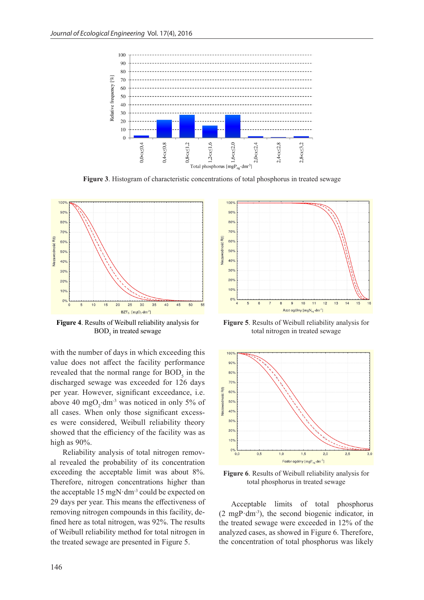

**Figure 3**. Histogram of characteristic concentrations of total phosphorus in treated sewage



**Figure 4**. Results of Weibull reliability analysis for  $\text{BOD}_5$  in treated sewage

with the number of days in which exceeding this value does not affect the facility performance revealed that the normal range for  $BOD<sub>5</sub>$  in the discharged sewage was exceeded for 126 days per year. However, significant exceedance, i.e. above 40 mgO<sub>2</sub> $\cdot$ dm<sup>-3</sup> was noticed in only 5% of all cases. When only those significant excesses were considered, Weibull reliability theory showed that the efficiency of the facility was as high as 90%.

Reliability analysis of total nitrogen removal revealed the probability of its concentration exceeding the acceptable limit was about 8%. Therefore, nitrogen concentrations higher than the acceptable 15 mgN $\cdot$ dm<sup>-3</sup> could be expected on 29 days per year. This means the effectiveness of removing nitrogen compounds in this facility, defined here as total nitrogen, was 92%. The results of Weibull reliability method for total nitrogen in the treated sewage are presented in Figure 5.



**Figure 5**. Results of Weibull reliability analysis for total nitrogen in treated sewage



**Figure 6**. Results of Weibull reliability analysis for total phosphorus in treated sewage

Acceptable limits of total phosphorus  $(2 \text{ mgP} \cdot \text{dm}^3)$ , the second biogenic indicator, in the treated sewage were exceeded in 12% of the analyzed cases, as showed in Figure 6. Therefore, the concentration of total phosphorus was likely